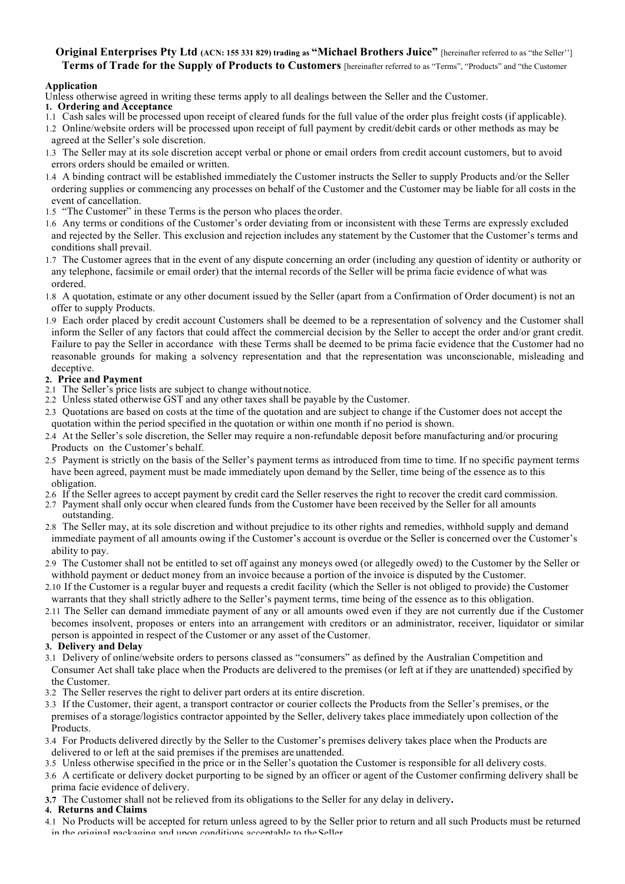## **Original Enterprises Pty Ltd (ACN: 155 331 829) trading as "Michael Brothers Juice"** [hereinafter referred to as "the Seller"] **Terms of Trade for the Supply of Products to Customers** [hereinafter referred to as "Terms", "Products" and "the Customer

### **Application**

- Unless otherwise agreed in writing these terms apply to all dealings between the Seller and the Customer.
- **1. Ordering and Acceptance**
- 1.1 Cash sales will be processed upon receipt of cleared funds for the full value of the order plus freight costs (if applicable).
- 1.2 Online/website orders will be processed upon receipt of full payment by credit/debit cards or other methods as may be agreed at the Seller's sole discretion.
- 1.3 The Seller may at its sole discretion accept verbal or phone or email orders from credit account customers, but to avoid errors orders should be emailed or written.
- 1.4 A binding contract will be established immediately the Customer instructs the Seller to supply Products and/or the Seller ordering supplies or commencing any processes on behalf of the Customer and the Customer may be liable for all costs in the event of cancellation.
- 1.5 "The Customer" in these Terms is the person who places the order.
- 1.6 Any terms or conditions of the Customer's order deviating from or inconsistent with these Terms are expressly excluded and rejected by the Seller. This exclusion and rejection includes any statement by the Customer that the Customer's terms and conditions shall prevail.
- 1.7 The Customer agrees that in the event of any dispute concerning an order (including any question of identity or authority or any telephone, facsimile or email order) that the internal records of the Seller will be prima facie evidence of what was ordered.
- 1.8 A quotation, estimate or any other document issued by the Seller (apart from a Confirmation of Order document) is not an offer to supply Products.
- 1.9 Each order placed by credit account Customers shall be deemed to be a representation of solvency and the Customer shall inform the Seller of any factors that could affect the commercial decision by the Seller to accept the order and/or grant credit. Failure to pay the Seller in accordance with these Terms shall be deemed to be prima facie evidence that the Customer had no reasonable grounds for making a solvency representation and that the representation was unconscionable, misleading and deceptive

## **2. Price and Payment**

- 2.1 The Seller's price lists are subject to change without notice.
- 2.2 Unless stated otherwise GST and any other taxes shall be payable by the Customer.
- 2.3 Quotations are based on costs at the time of the quotation and are subject to change if the Customer does not accept the quotation within the period specified in the quotation or within one month if no period is shown.
- 2.4 At the Seller's sole discretion, the Seller may require a non-refundable deposit before manufacturing and/or procuring Products on the Customer's behalf.
- 2.5 Payment is strictly on the basis of the Seller's payment terms as introduced from time to time. If no specific payment terms have been agreed, payment must be made immediately upon demand by the Seller, time being of the essence as to this obligation.
- 2.6 If the Seller agrees to accept payment by credit card the Seller reserves the right to recover the credit card commission.
- 2.7 Payment shall only occur when cleared funds from the Customer have been received by the Seller for all amounts
- outstanding. 2.8 The Seller may, at its sole discretion and without prejudice to its other rights and remedies, withhold supply and demand immediate payment of all amounts owing if the Customer's account is overdue or the Seller is concerned over the Customer's ability to pay.
- 2.9 The Customer shall not be entitled to set off against any moneys owed (or allegedly owed) to the Customer by the Seller or withhold payment or deduct money from an invoice because a portion of the invoice is disputed by the Customer.
- 2.10 If the Customer is a regular buyer and requests a credit facility (which the Seller is not obliged to provide) the Customer warrants that they shall strictly adhere to the Seller's payment terms, time being of the essence as to this obligation.
- 2.11 The Seller can demand immediate payment of any or all amounts owed even if they are not currently due if the Customer becomes insolvent, proposes or enters into an arrangement with creditors or an administrator, receiver, liquidator or similar person is appointed in respect of the Customer or any asset of the Customer.

## **3. Delivery and Delay**

- 3.1 Delivery of online/website orders to persons classed as "consumers" as defined by the Australian Competition and Consumer Act shall take place when the Products are delivered to the premises (or left at if they are unattended) specified by the Customer.
- 3.2 The Seller reserves the right to deliver part orders at its entire discretion.
- 3.3 If the Customer, their agent, a transport contractor or courier collects the Products from the Seller's premises, or the premises of a storage/logistics contractor appointed by the Seller, delivery takes place immediately upon collection of the Products.
- 3.4 For Products delivered directly by the Seller to the Customer's premises delivery takes place when the Products are delivered to or left at the said premises if the premises are unattended.
- 3.5 Unless otherwise specified in the price or in the Seller's quotation the Customer is responsible for all delivery costs.
- 3.6 A certificate or delivery docket purporting to be signed by an officer or agent of the Customer confirming delivery shall be prima facie evidence of delivery.
- **3.7** The Customer shall not be relieved from its obligations to the Seller for any delay in delivery**.**

### **4. Returns and Claims**

4.1 No Products will be accepted for return unless agreed to by the Seller prior to return and all such Products must be returned in the original packaging and upon conditions acceptable to the Seller.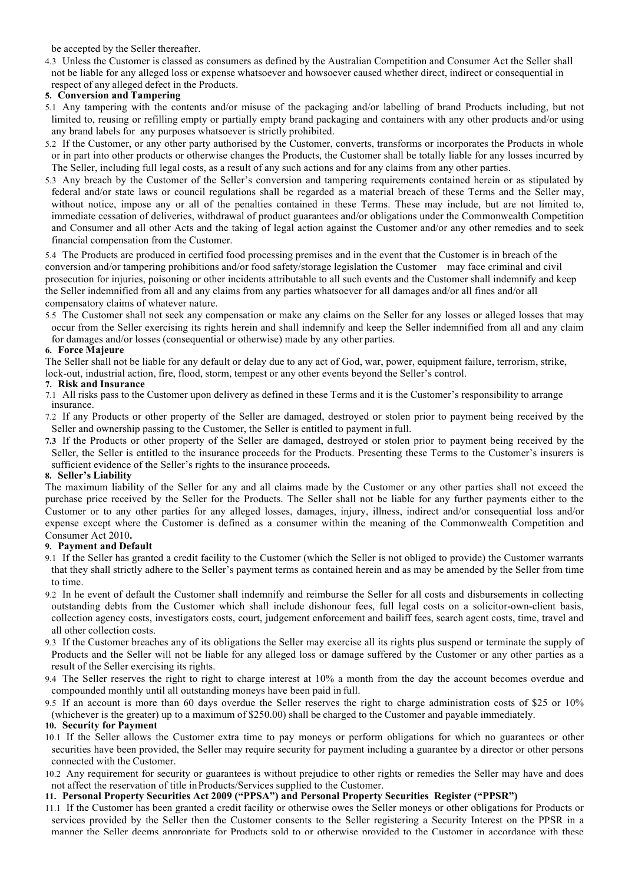be accepted by the Seller thereafter.

4.3 Unless the Customer is classed as consumers as defined by the Australian Competition and Consumer Act the Seller shall not be liable for any alleged loss or expense whatsoever and howsoever caused whether direct, indirect or consequential in respect of any alleged defect in the Products.

### **5. Conversion and Tampering**

- 5.1 Any tampering with the contents and/or misuse of the packaging and/or labelling of brand Products including, but not limited to, reusing or refilling empty or partially empty brand packaging and containers with any other products and/or using any brand labels for any purposes whatsoever is strictly prohibited.
- 5.2 If the Customer, or any other party authorised by the Customer, converts, transforms or incorporates the Products in whole or in part into other products or otherwise changes the Products, the Customer shall be totally liable for any losses incurred by The Seller, including full legal costs, as a result of any such actions and for any claims from any other parties.
- 5.3 Any breach by the Customer of the Seller's conversion and tampering requirements contained herein or as stipulated by federal and/or state laws or council regulations shall be regarded as a material breach of these Terms and the Seller may, without notice, impose any or all of the penalties contained in these Terms. These may include, but are not limited to, immediate cessation of deliveries, withdrawal of product guarantees and/or obligations under the Commonwealth Competition and Consumer and all other Acts and the taking of legal action against the Customer and/or any other remedies and to seek financial compensation from the Customer.

5.4 The Products are produced in certified food processing premises and in the event that the Customer is in breach of the conversion and/or tampering prohibitions and/or food safety/storage legislation the Customer may face criminal and civil prosecution for injuries, poisoning or other incidents attributable to all such events and the Customer shall indemnify and keep the Seller indemnified from all and any claims from any parties whatsoever for all damages and/or all fines and/or all compensatory claims of whatever nature.

5.5 The Customer shall not seek any compensation or make any claims on the Seller for any losses or alleged losses that may occur from the Seller exercising its rights herein and shall indemnify and keep the Seller indemnified from all and any claim for damages and/or losses (consequential or otherwise) made by any other parties.

### **6. Force Majeure**

The Seller shall not be liable for any default or delay due to any act of God, war, power, equipment failure, terrorism, strike, lock-out, industrial action, fire, flood, storm, tempest or any other events beyond the Seller's control.

### **7. Risk and Insurance**

- 7.1 All risks pass to the Customer upon delivery as defined in these Terms and it is the Customer's responsibility to arrange insurance.
- 7.2 If any Products or other property of the Seller are damaged, destroyed or stolen prior to payment being received by the Seller and ownership passing to the Customer, the Seller is entitled to payment infull.
- **7.3** If the Products or other property of the Seller are damaged, destroyed or stolen prior to payment being received by the Seller, the Seller is entitled to the insurance proceeds for the Products. Presenting these Terms to the Customer's insurers is sufficient evidence of the Seller's rights to the insurance proceeds**.**

### **8. Seller's Liability**

The maximum liability of the Seller for any and all claims made by the Customer or any other parties shall not exceed the purchase price received by the Seller for the Products. The Seller shall not be liable for any further payments either to the Customer or to any other parties for any alleged losses, damages, injury, illness, indirect and/or consequential loss and/or expense except where the Customer is defined as a consumer within the meaning of the Commonwealth Competition and Consumer Act 2010**.**

## **9. Payment and Default**

- 9.1 If the Seller has granted a credit facility to the Customer (which the Seller is not obliged to provide) the Customer warrants that they shall strictly adhere to the Seller's payment terms as contained herein and as may be amended by the Seller from time to time.
- 9.2 In he event of default the Customer shall indemnify and reimburse the Seller for all costs and disbursements in collecting outstanding debts from the Customer which shall include dishonour fees, full legal costs on a solicitor-own-client basis, collection agency costs, investigators costs, court, judgement enforcement and bailiff fees, search agent costs, time, travel and all other collection costs.
- 9.3 If the Customer breaches any of its obligations the Seller may exercise all its rights plus suspend or terminate the supply of Products and the Seller will not be liable for any alleged loss or damage suffered by the Customer or any other parties as a result of the Seller exercising its rights.
- 9.4 The Seller reserves the right to right to charge interest at 10% a month from the day the account becomes overdue and compounded monthly until all outstanding moneys have been paid in full.
- 9.5 If an account is more than 60 days overdue the Seller reserves the right to charge administration costs of \$25 or 10% (whichever is the greater) up to a maximum of \$250.00) shall be charged to the Customer and payable immediately.

### **10. Security for Payment**

- 10.1 If the Seller allows the Customer extra time to pay moneys or perform obligations for which no guarantees or other securities have been provided, the Seller may require security for payment including a guarantee by a director or other persons connected with the Customer.
- 10.2 Any requirement for security or guarantees is without prejudice to other rights or remedies the Seller may have and does not affect the reservation of title inProducts/Services supplied to the Customer.

### **11. Personal Property Securities Act 2009 ("PPSA") and Personal Property Securities Register ("PPSR")**

11.1 If the Customer has been granted a credit facility or otherwise owes the Seller moneys or other obligations for Products or services provided by the Seller then the Customer consents to the Seller registering a Security Interest on the PPSR in a manner the Seller deems appropriate for Products sold to or otherwise provided to the Customer in accordance with these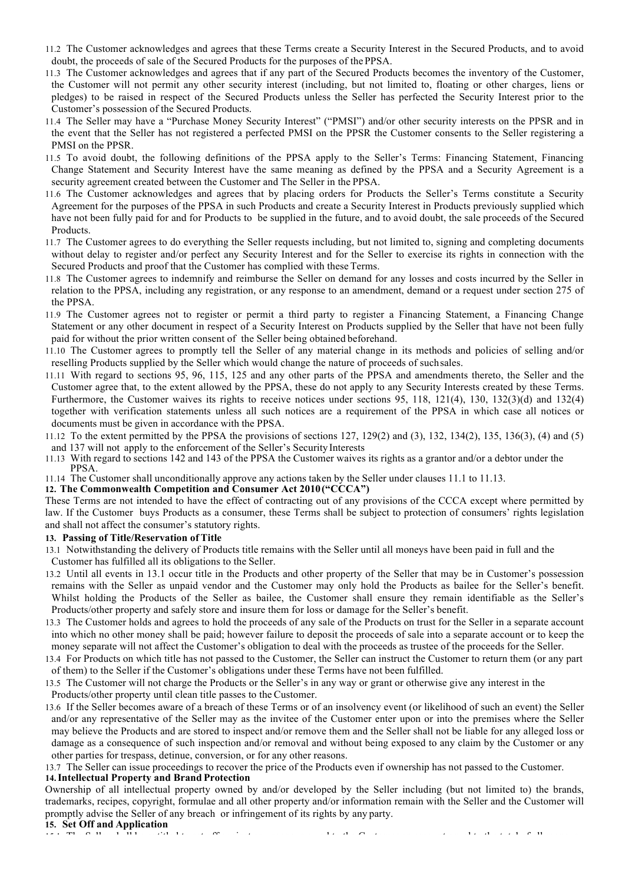- 11.2 The Customer acknowledges and agrees that these Terms create a Security Interest in the Secured Products, and to avoid doubt, the proceeds of sale of the Secured Products for the purposes of thePPSA.
- 11.3 The Customer acknowledges and agrees that if any part of the Secured Products becomes the inventory of the Customer, the Customer will not permit any other security interest (including, but not limited to, floating or other charges, liens or pledges) to be raised in respect of the Secured Products unless the Seller has perfected the Security Interest prior to the Customer's possession of the Secured Products.
- 11.4 The Seller may have a "Purchase Money Security Interest" ("PMSI") and/or other security interests on the PPSR and in the event that the Seller has not registered a perfected PMSI on the PPSR the Customer consents to the Seller registering a PMSI on the PPSR.
- 11.5 To avoid doubt, the following definitions of the PPSA apply to the Seller's Terms: Financing Statement, Financing Change Statement and Security Interest have the same meaning as defined by the PPSA and a Security Agreement is a security agreement created between the Customer and The Seller in the PPSA.
- 11.6 The Customer acknowledges and agrees that by placing orders for Products the Seller's Terms constitute a Security Agreement for the purposes of the PPSA in such Products and create a Security Interest in Products previously supplied which have not been fully paid for and for Products to be supplied in the future, and to avoid doubt, the sale proceeds of the Secured Products.
- 11.7 The Customer agrees to do everything the Seller requests including, but not limited to, signing and completing documents without delay to register and/or perfect any Security Interest and for the Seller to exercise its rights in connection with the Secured Products and proof that the Customer has complied with these Terms.
- 11.8 The Customer agrees to indemnify and reimburse the Seller on demand for any losses and costs incurred by the Seller in relation to the PPSA, including any registration, or any response to an amendment, demand or a request under section 275 of the PPSA.
- 11.9 The Customer agrees not to register or permit a third party to register a Financing Statement, a Financing Change Statement or any other document in respect of a Security Interest on Products supplied by the Seller that have not been fully paid for without the prior written consent of the Seller being obtained beforehand.
- 11.10 The Customer agrees to promptly tell the Seller of any material change in its methods and policies of selling and/or reselling Products supplied by the Seller which would change the nature of proceeds of suchsales.
- 11.11 With regard to sections 95, 96, 115, 125 and any other parts of the PPSA and amendments thereto, the Seller and the Customer agree that, to the extent allowed by the PPSA, these do not apply to any Security Interests created by these Terms. Furthermore, the Customer waives its rights to receive notices under sections 95, 118, 121(4), 130, 132(3)(d) and 132(4) together with verification statements unless all such notices are a requirement of the PPSA in which case all notices or documents must be given in accordance with the PPSA.
- 11.12 To the extent permitted by the PPSA the provisions of sections 127, 129(2) and (3), 132, 134(2), 135, 136(3), (4) and (5) and 137 will not apply to the enforcement of the Seller's Security Interests
- 11.13 With regard to sections 142 and 143 of the PPSA the Customer waives its rights as a grantor and/or a debtor under the PPSA.
- 11.14 The Customer shall unconditionally approve any actions taken by the Seller under clauses 11.1 to 11.13.

## **12. The Commonwealth Competition and Consumer Act 2010("CCCA")**

These Terms are not intended to have the effect of contracting out of any provisions of the CCCA except where permitted by law. If the Customer buys Products as a consumer, these Terms shall be subject to protection of consumers' rights legislation and shall not affect the consumer's statutory rights.

#### **13. Passing of Title/Reservation of Title**

- 13.1 Notwithstanding the delivery of Products title remains with the Seller until all moneys have been paid in full and the Customer has fulfilled all its obligations to the Seller.
- 13.2 Until all events in 13.1 occur title in the Products and other property of the Seller that may be in Customer's possession remains with the Seller as unpaid vendor and the Customer may only hold the Products as bailee for the Seller's benefit. Whilst holding the Products of the Seller as bailee, the Customer shall ensure they remain identifiable as the Seller's Products/other property and safely store and insure them for loss or damage for the Seller's benefit.
- 13.3 The Customer holds and agrees to hold the proceeds of any sale of the Products on trust for the Seller in a separate account into which no other money shall be paid; however failure to deposit the proceeds of sale into a separate account or to keep the money separate will not affect the Customer's obligation to deal with the proceeds as trustee of the proceeds for the Seller.
- 13.4 For Products on which title has not passed to the Customer, the Seller can instruct the Customer to return them (or any part of them) to the Seller if the Customer's obligations under these Terms have not been fulfilled.
- 13.5 The Customer will not charge the Products or the Seller's in any way or grant or otherwise give any interest in the Products/other property until clean title passes to the Customer.
- 13.6 If the Seller becomes aware of a breach of these Terms or of an insolvency event (or likelihood of such an event) the Seller and/or any representative of the Seller may as the invitee of the Customer enter upon or into the premises where the Seller may believe the Products and are stored to inspect and/or remove them and the Seller shall not be liable for any alleged loss or damage as a consequence of such inspection and/or removal and without being exposed to any claim by the Customer or any other parties for trespass, detinue, conversion, or for any other reasons.

13.7 The Seller can issue proceedings to recover the price of the Products even if ownership has not passed to the Customer.

#### **14.Intellectual Property and Brand Protection**

Ownership of all intellectual property owned by and/or developed by the Seller including (but not limited to) the brands, trademarks, recipes, copyright, formulae and all other property and/or information remain with the Seller and the Customer will promptly advise the Seller of any breach or infringement of its rights by any party.

# **15. Set Off and Application**

15.1 The Seller shall be entitled to set off against any moneys owed to the Customer an amount equal to the total of all moneys